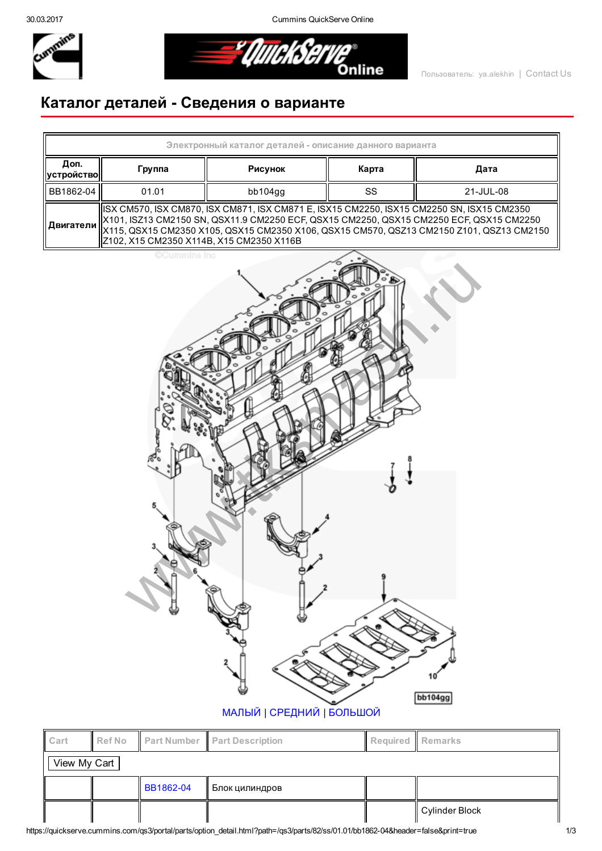30.03.2017 Cummins QuickServe Online



<u> \* QuickServ</u> Online

## Каталог деталей Сведения о варианте



| ll Cart      |  |           | $\parallel$ Ref No $\parallel$ Part Number $\parallel$ Part Description | Required    Remarks |                  |  |  |  |
|--------------|--|-----------|-------------------------------------------------------------------------|---------------------|------------------|--|--|--|
| View My Cart |  |           |                                                                         |                     |                  |  |  |  |
|              |  | BB1862-04 | Блок цилиндров                                                          |                     |                  |  |  |  |
|              |  |           |                                                                         |                     | ∥ Cylinder Block |  |  |  |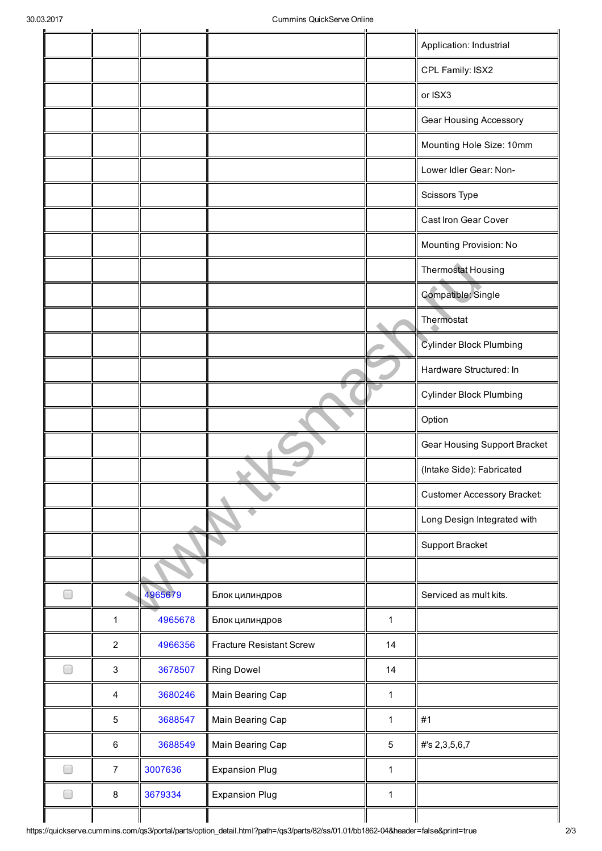|   |                           |         |                                 |              | Application: Industrial            |
|---|---------------------------|---------|---------------------------------|--------------|------------------------------------|
|   |                           |         |                                 |              | CPL Family: ISX2                   |
|   |                           |         |                                 |              | or ISX3                            |
|   |                           |         |                                 |              | Gear Housing Accessory             |
|   |                           |         |                                 |              | Mounting Hole Size: 10mm           |
|   |                           |         |                                 |              | Lower Idler Gear: Non-             |
|   |                           |         |                                 |              | <b>Scissors Type</b>               |
|   |                           |         |                                 |              | Cast Iron Gear Cover               |
|   |                           |         |                                 |              | Mounting Provision: No             |
|   |                           |         |                                 |              | Thermostat Housing                 |
|   |                           |         |                                 |              | Compatible: Single                 |
|   |                           |         |                                 |              | Thermostat                         |
|   |                           |         |                                 |              | <b>Cylinder Block Plumbing</b>     |
|   |                           |         |                                 |              | Hardware Structured: In            |
|   |                           |         |                                 |              | <b>Cylinder Block Plumbing</b>     |
|   |                           |         |                                 |              | Option                             |
|   |                           |         |                                 |              | Gear Housing Support Bracket       |
|   |                           |         |                                 |              | (Intake Side): Fabricated          |
|   |                           |         |                                 |              | <b>Customer Accessory Bracket:</b> |
|   |                           |         |                                 |              | Long Design Integrated with        |
|   |                           |         |                                 |              | Support Bracket                    |
|   |                           |         |                                 |              |                                    |
| ۳ |                           | 4965679 | Блок цилиндров                  |              | Serviced as mult kits.             |
|   | $\mathbf 1$               | 4965678 | Блок цилиндров                  | $\mathbf{1}$ |                                    |
|   | $\sqrt{2}$                | 4966356 | <b>Fracture Resistant Screw</b> | 14           |                                    |
|   | $\ensuremath{\mathsf{3}}$ | 3678507 | <b>Ring Dowel</b>               | 14           |                                    |
|   | $\overline{\mathbf{4}}$   | 3680246 | Main Bearing Cap                | $\mathbf{1}$ |                                    |
|   | 5                         | 3688547 | Main Bearing Cap                | $\mathbf{1}$ | #1                                 |
|   | $\,6\,$                   | 3688549 | Main Bearing Cap                | 5            | #'s 2,3,5,6,7                      |
|   | $\overline{7}$            | 3007636 | <b>Expansion Plug</b>           | $\mathbf{1}$ |                                    |
|   | $\bf 8$                   | 3679334 | <b>Expansion Plug</b>           | $\mathbf{1}$ |                                    |
|   |                           |         |                                 |              |                                    |